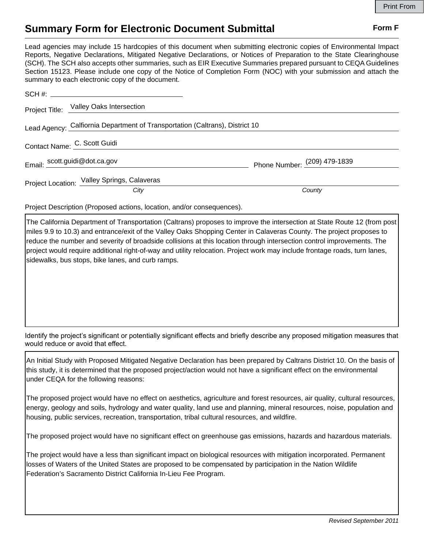## **Summary Form for Electronic Document Submittal Form F Form F**

Lead agencies may include 15 hardcopies of this document when submitting electronic copies of Environmental Impact Reports, Negative Declarations, Mitigated Negative Declarations, or Notices of Preparation to the State Clearinghouse (SCH). The SCH also accepts other summaries, such as EIR Executive Summaries prepared pursuant to CEQA Guidelines Section 15123. Please include one copy of the Notice of Completion Form (NOC) with your submission and attach the summary to each electronic copy of the document.

| Project Title: Valley Oaks Intersection                                      |                              |
|------------------------------------------------------------------------------|------------------------------|
| Lead Agency: Calfiornia Department of Transportation (Caltrans), District 10 |                              |
| Contact Name: C. Scott Guidi                                                 |                              |
| Email: scott.guidi@dot.ca.gov                                                | Phone Number: (209) 479-1839 |
| Project Location: Valley Springs, Calaveras<br>City                          | County                       |
|                                                                              |                              |

Project Description (Proposed actions, location, and/or consequences).

The California Department of Transportation (Caltrans) proposes to improve the intersection at State Route 12 (from post miles 9.9 to 10.3) and entrance/exit of the Valley Oaks Shopping Center in Calaveras County. The project proposes to reduce the number and severity of broadside collisions at this location through intersection control improvements. The project would require additional right-of-way and utility relocation. Project work may include frontage roads, turn lanes, sidewalks, bus stops, bike lanes, and curb ramps.

Identify the project's significant or potentially significant effects and briefly describe any proposed mitigation measures that would reduce or avoid that effect.

An Initial Study with Proposed Mitigated Negative Declaration has been prepared by Caltrans District 10. On the basis of this study, it is determined that the proposed project/action would not have a significant effect on the environmental under CEQA for the following reasons:

The proposed project would have no effect on aesthetics, agriculture and forest resources, air quality, cultural resources, energy, geology and soils, hydrology and water quality, land use and planning, mineral resources, noise, population and housing, public services, recreation, transportation, tribal cultural resources, and wildfire.

The proposed project would have no significant effect on greenhouse gas emissions, hazards and hazardous materials.

The project would have a less than significant impact on biological resources with mitigation incorporated. Permanent losses of Waters of the United States are proposed to be compensated by participation in the Nation Wildlife Federation's Sacramento District California In-Lieu Fee Program.